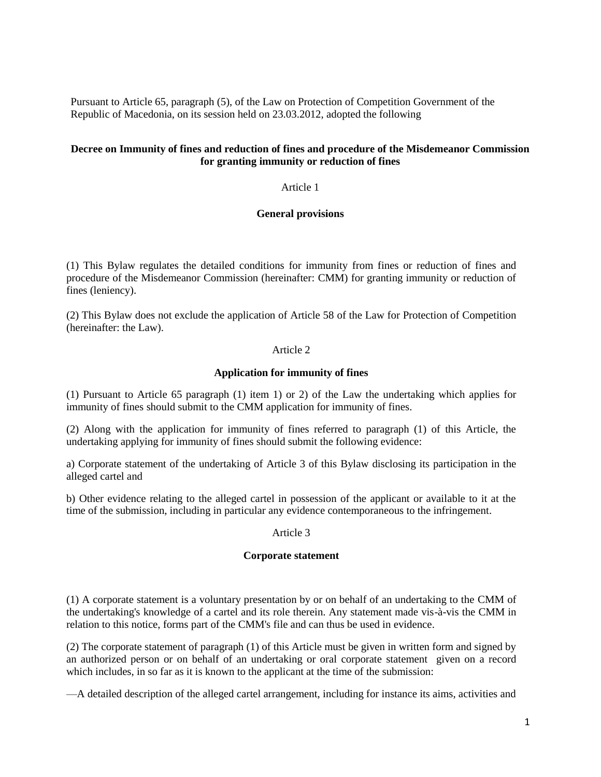Pursuant to Article 65, paragraph (5), of the Law on Protection of Competition Government of the Republic of Macedonia, on its session held on 23.03.2012, adopted the following

# **Decree on Immunity of fines and reduction of fines and procedure of the Misdemeanor Commission for granting immunity or reduction of fines**

Article 1

### **General provisions**

(1) This Bylaw regulates the detailed conditions for immunity from fines or reduction of fines and procedure of the Misdemeanor Commission (hereinafter: CMM) for granting immunity or reduction of fines (leniency).

(2) This Bylaw does not exclude the application of Article 58 of the Law for Protection of Competition (hereinafter: the Law).

# Article 2

### **Application for immunity of fines**

(1) Pursuant to Article 65 paragraph (1) item 1) or 2) of the Law the undertaking which applies for immunity of fines should submit to the CMM application for immunity of fines.

(2) Along with the application for immunity of fines referred to paragraph (1) of this Article, the undertaking applying for immunity of fines should submit the following evidence:

a) Corporate statement of the undertaking of Article 3 of this Bylaw disclosing its participation in the alleged cartel and

b) Other evidence relating to the alleged cartel in possession of the applicant or available to it at the time of the submission, including in particular any evidence contemporaneous to the infringement.

#### Article 3

#### **Corporate statement**

(1) A corporate statement is a voluntary presentation by or on behalf of an undertaking to the CMM of the undertaking's knowledge of a cartel and its role therein. Any statement made vis-à-vis the CMM in relation to this notice, forms part of the CMM's file and can thus be used in evidence.

(2) The corporate statement of paragraph (1) of this Article must be given in written form and signed by an authorized person or on behalf of an undertaking or oral corporate statement given on a record which includes, in so far as it is known to the applicant at the time of the submission:

—A detailed description of the alleged cartel arrangement, including for instance its aims, activities and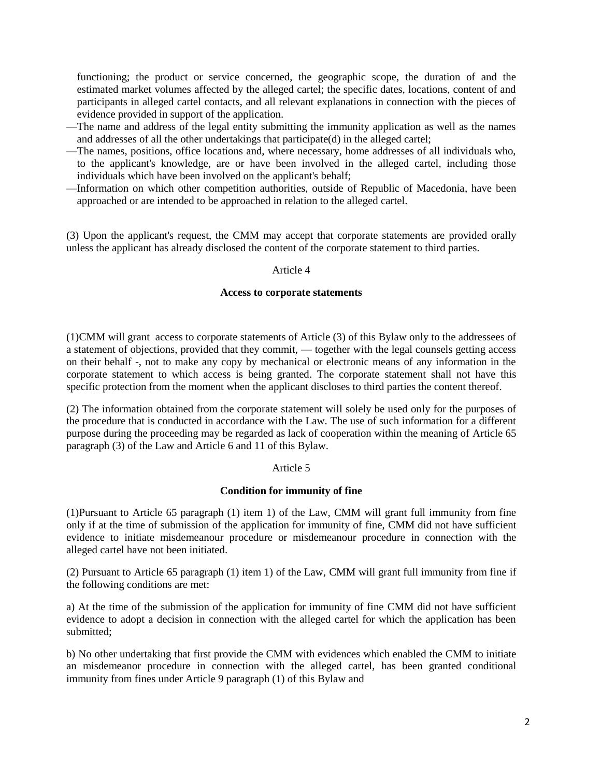functioning; the product or service concerned, the geographic scope, the duration of and the estimated market volumes affected by the alleged cartel; the specific dates, locations, content of and participants in alleged cartel contacts, and all relevant explanations in connection with the pieces of evidence provided in support of the application.

- —The name and address of the legal entity submitting the immunity application as well as the names and addresses of all the other undertakings that participate(d) in the alleged cartel;
- —The names, positions, office locations and, where necessary, home addresses of all individuals who, to the applicant's knowledge, are or have been involved in the alleged cartel, including those individuals which have been involved on the applicant's behalf;
- —Information on which other competition authorities, outside of Republic of Macedonia, have been approached or are intended to be approached in relation to the alleged cartel.

(3) Upon the applicant's request, the CMM may accept that corporate statements are provided orally unless the applicant has already disclosed the content of the corporate statement to third parties.

### Article 4

#### **Access to corporate statements**

(1)CMM will grant access to corporate statements of Article (3) of this Bylaw only to the addressees of a statement of objections, provided that they commit, — together with the legal counsels getting access on their behalf -, not to make any copy by mechanical or electronic means of any information in the corporate statement to which access is being granted. The corporate statement shall not have this specific protection from the moment when the applicant discloses to third parties the content thereof.

(2) The information obtained from the corporate statement will solely be used only for the purposes of the procedure that is conducted in accordance with the Law. The use of such information for a different purpose during the proceeding may be regarded as lack of cooperation within the meaning of Article 65 paragraph (3) of the Law and Article 6 and 11 of this Bylaw.

#### Article 5

# **Condition for immunity of fine**

(1)Pursuant to Article 65 paragraph (1) item 1) of the Law, CMM will grant full immunity from fine only if at the time of submission of the application for immunity of fine, CMM did not have sufficient evidence to initiate misdemeanour procedure or misdemeanour procedure in connection with the alleged cartel have not been initiated.

(2) Pursuant to Article 65 paragraph (1) item 1) of the Law, CMM will grant full immunity from fine if the following conditions are met:

a) At the time of the submission of the application for immunity of fine CMM did not have sufficient evidence to adopt a decision in connection with the alleged cartel for which the application has been submitted;

b) No other undertaking that first provide the CMM with evidences which enabled the CMM to initiate an misdemeanor procedure in connection with the alleged cartel, has been granted conditional immunity from fines under Article 9 paragraph (1) of this Bylaw and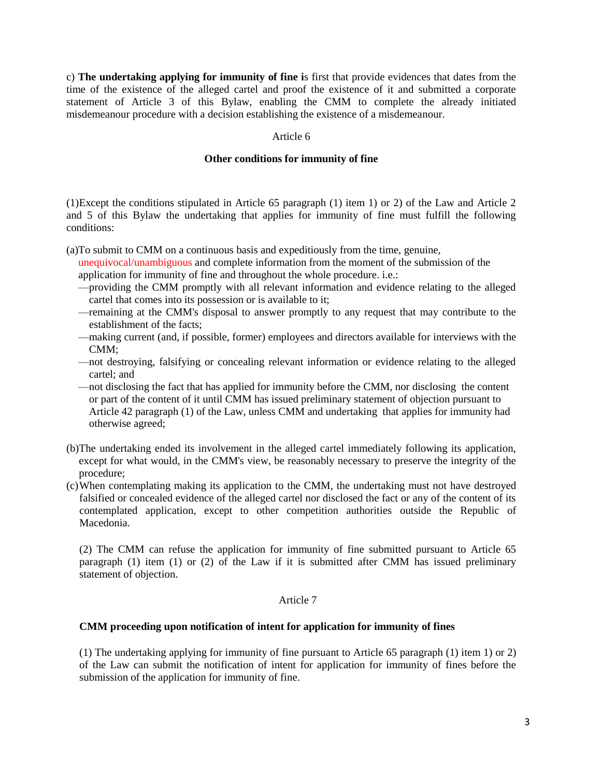c) **The undertaking applying for immunity of fine i**s first that provide evidences that dates from the time of the existence of the alleged cartel and proof the existence of it and submitted a corporate statement of Article 3 of this Bylaw, enabling the CMM to complete the already initiated misdemeanour procedure with a decision establishing the existence of a misdemeanour.

#### Article 6

#### **Other conditions for immunity of fine**

(1)Except the conditions stipulated in Article 65 paragraph (1) item 1) or 2) of the Law and Article 2 and 5 of this Bylaw the undertaking that applies for immunity of fine must fulfill the following conditions:

(a)To submit to CMM on a continuous basis and expeditiously from the time, genuine,

unequivocal/unambiguous and complete information from the moment of the submission of the application for immunity of fine and throughout the whole procedure. i.e.:

- —providing the CMM promptly with all relevant information and evidence relating to the alleged cartel that comes into its possession or is available to it;
- —remaining at the CMM's disposal to answer promptly to any request that may contribute to the establishment of the facts;
- —making current (and, if possible, former) employees and directors available for interviews with the CMM;
- —not destroying, falsifying or concealing relevant information or evidence relating to the alleged cartel; and
- —not disclosing the fact that has applied for immunity before the CMM, nor disclosing the content or part of the content of it until CMM has issued preliminary statement of objection pursuant to Article 42 paragraph (1) of the Law, unless CMM and undertaking that applies for immunity had otherwise agreed;
- (b)The undertaking ended its involvement in the alleged cartel immediately following its application, except for what would, in the CMM's view, be reasonably necessary to preserve the integrity of the procedure;
- (c)When contemplating making its application to the CMM, the undertaking must not have destroyed falsified or concealed evidence of the alleged cartel nor disclosed the fact or any of the content of its contemplated application, except to other competition authorities outside the Republic of Macedonia.

(2) The CMM can refuse the application for immunity of fine submitted pursuant to Article 65 paragraph (1) item (1) or (2) of the Law if it is submitted after CMM has issued preliminary statement of objection.

#### Article 7

#### **CMM proceeding upon notification of intent for application for immunity of fines**

(1) The undertaking applying for immunity of fine pursuant to Article 65 paragraph (1) item 1) or 2) of the Law can submit the notification of intent for application for immunity of fines before the submission of the application for immunity of fine.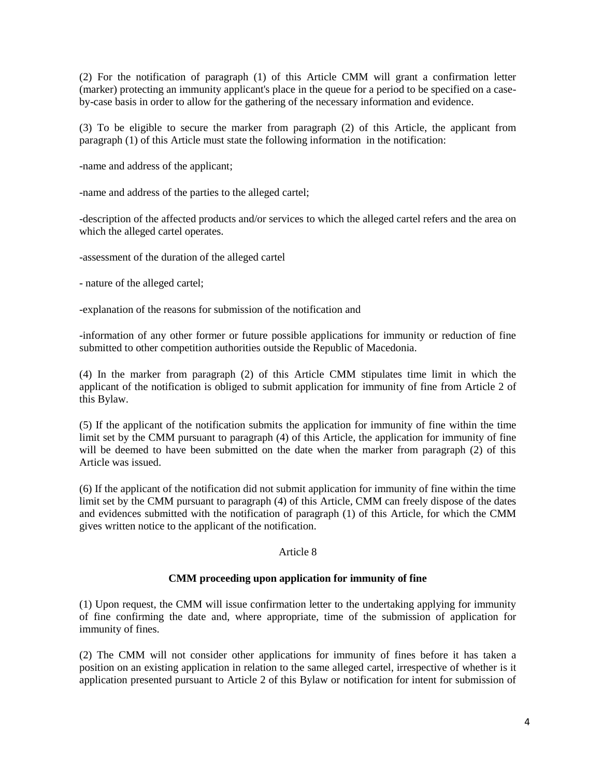(2) For the notification of paragraph (1) of this Article CMM will grant a confirmation letter (marker) protecting an immunity applicant's place in the queue for a period to be specified on a caseby-case basis in order to allow for the gathering of the necessary information and evidence.

(3) To be eligible to secure the marker from paragraph (2) of this Article, the applicant from paragraph (1) of this Article must state the following information in the notification:

-name and address of the applicant;

-name and address of the parties to the alleged cartel;

-description of the affected products and/or services to which the alleged cartel refers and the area on which the alleged cartel operates.

-assessment of the duration of the alleged cartel

- nature of the alleged cartel;

-explanation of the reasons for submission of the notification and

-information of any other former or future possible applications for immunity or reduction of fine submitted to other competition authorities outside the Republic of Macedonia.

(4) In the marker from paragraph (2) of this Article CMM stipulates time limit in which the applicant of the notification is obliged to submit application for immunity of fine from Article 2 of this Bylaw.

(5) If the applicant of the notification submits the application for immunity of fine within the time limit set by the CMM pursuant to paragraph (4) of this Article, the application for immunity of fine will be deemed to have been submitted on the date when the marker from paragraph (2) of this Article was issued.

(6) If the applicant of the notification did not submit application for immunity of fine within the time limit set by the CMM pursuant to paragraph (4) of this Article, CMM can freely dispose of the dates and evidences submitted with the notification of paragraph (1) of this Article, for which the CMM gives written notice to the applicant of the notification.

# Article 8

# **CMM proceeding upon application for immunity of fine**

(1) Upon request, the CMM will issue confirmation letter to the undertaking applying for immunity of fine confirming the date and, where appropriate, time of the submission of application for immunity of fines.

(2) The CMM will not consider other applications for immunity of fines before it has taken a position on an existing application in relation to the same alleged cartel, irrespective of whether is it application presented pursuant to Article 2 of this Bylaw or notification for intent for submission of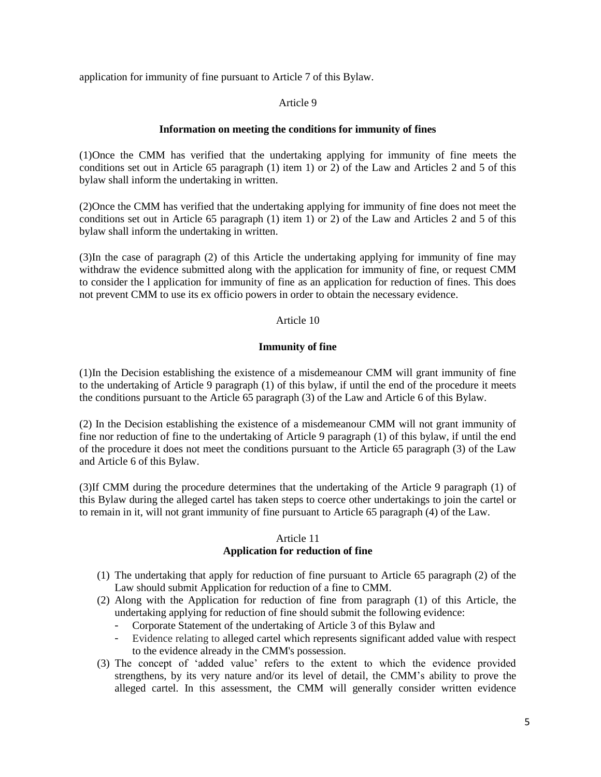application for immunity of fine pursuant to Article 7 of this Bylaw.

# Article 9

### **Information on meeting the conditions for immunity of fines**

(1)Once the CMM has verified that the undertaking applying for immunity of fine meets the conditions set out in Article 65 paragraph (1) item 1) or 2) of the Law and Articles 2 and 5 of this bylaw shall inform the undertaking in written.

(2)Once the CMM has verified that the undertaking applying for immunity of fine does not meet the conditions set out in Article 65 paragraph (1) item 1) or 2) of the Law and Articles 2 and 5 of this bylaw shall inform the undertaking in written.

(3)In the case of paragraph (2) of this Article the undertaking applying for immunity of fine may withdraw the evidence submitted along with the application for immunity of fine, or request CMM to consider the l application for immunity of fine as an application for reduction of fines. This does not prevent CMM to use its ex officio powers in order to obtain the necessary evidence.

# Article 10

### **Immunity of fine**

(1)In the Decision establishing the existence of a misdemeanour CMM will grant immunity of fine to the undertaking of Article 9 paragraph (1) of this bylaw, if until the end of the procedure it meets the conditions pursuant to the Article 65 paragraph (3) of the Law and Article 6 of this Bylaw.

(2) In the Decision establishing the existence of a misdemeanour CMM will not grant immunity of fine nor reduction of fine to the undertaking of Article 9 paragraph (1) of this bylaw, if until the end of the procedure it does not meet the conditions pursuant to the Article 65 paragraph (3) of the Law and Article 6 of this Bylaw.

(3)If CMM during the procedure determines that the undertaking of the Article 9 paragraph (1) of this Bylaw during the alleged cartel has taken steps to coerce other undertakings to join the cartel or to remain in it, will not grant immunity of fine pursuant to Article 65 paragraph (4) of the Law.

### Article 11

# **Application for reduction of fine**

- (1) The undertaking that apply for reduction of fine pursuant to Article 65 paragraph (2) of the Law should submit Application for reduction of a fine to CMM.
- (2) Along with the Application for reduction of fine from paragraph (1) of this Article, the undertaking applying for reduction of fine should submit the following evidence:
	- Corporate Statement of the undertaking of Article 3 of this Bylaw and
	- Evidence relating to alleged cartel which represents significant added value with respect to the evidence already in the CMM's possession.
- (3) The concept of 'added value' refers to the extent to which the evidence provided strengthens, by its very nature and/or its level of detail, the CMM's ability to prove the alleged cartel. In this assessment, the CMM will generally consider written evidence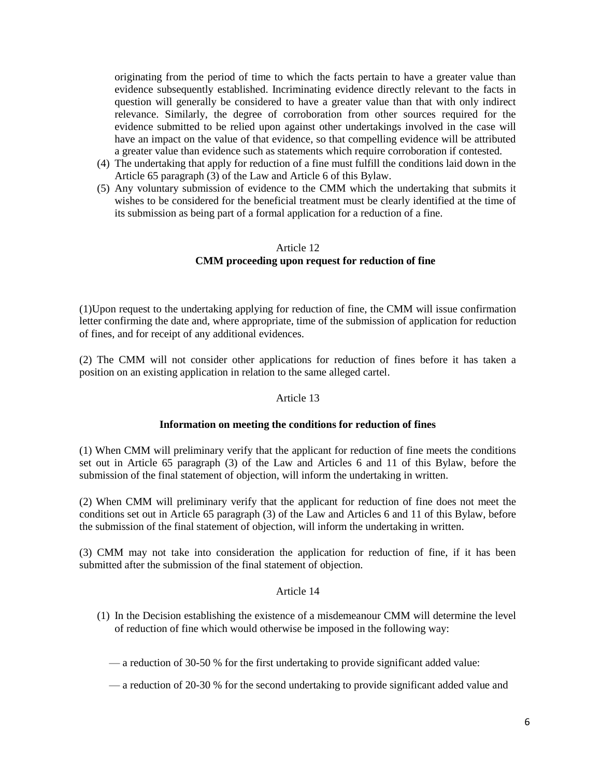originating from the period of time to which the facts pertain to have a greater value than evidence subsequently established. Incriminating evidence directly relevant to the facts in question will generally be considered to have a greater value than that with only indirect relevance. Similarly, the degree of corroboration from other sources required for the evidence submitted to be relied upon against other undertakings involved in the case will have an impact on the value of that evidence, so that compelling evidence will be attributed a greater value than evidence such as statements which require corroboration if contested.

- (4) The undertaking that apply for reduction of a fine must fulfill the conditions laid down in the Article 65 paragraph (3) of the Law and Article 6 of this Bylaw.
- (5) Any voluntary submission of evidence to the CMM which the undertaking that submits it wishes to be considered for the beneficial treatment must be clearly identified at the time of its submission as being part of a formal application for a reduction of a fine.

### Article 12 **CMM proceeding upon request for reduction of fine**

(1)Upon request to the undertaking applying for reduction of fine, the CMM will issue confirmation letter confirming the date and, where appropriate, time of the submission of application for reduction of fines, and for receipt of any additional evidences.

(2) The CMM will not consider other applications for reduction of fines before it has taken a position on an existing application in relation to the same alleged cartel.

# Article 13

#### **Information on meeting the conditions for reduction of fines**

(1) When CMM will preliminary verify that the applicant for reduction of fine meets the conditions set out in Article 65 paragraph (3) of the Law and Articles 6 and 11 of this Bylaw, before the submission of the final statement of objection, will inform the undertaking in written.

(2) When CMM will preliminary verify that the applicant for reduction of fine does not meet the conditions set out in Article 65 paragraph (3) of the Law and Articles 6 and 11 of this Bylaw, before the submission of the final statement of objection, will inform the undertaking in written.

(3) CMM may not take into consideration the application for reduction of fine, if it has been submitted after the submission of the final statement of objection.

#### Article 14

(1) In the Decision establishing the existence of a misdemeanour CMM will determine the level of reduction of fine which would otherwise be imposed in the following way:

— a reduction of 30-50 % for the first undertaking to provide significant added value:

— a reduction of 20-30 % for the second undertaking to provide significant added value and